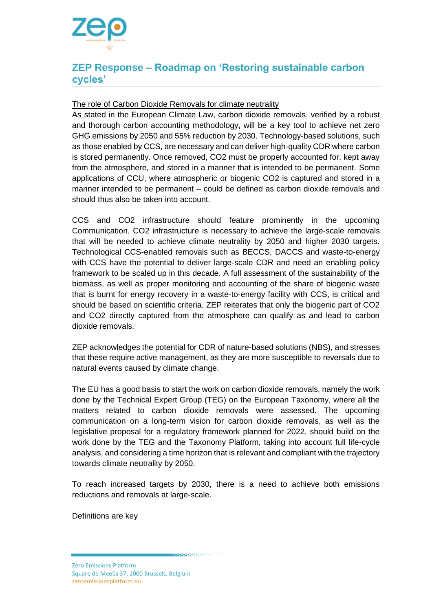

## **ZEP Response – Roadmap on 'Restoring sustainable carbon cycles'**

## The role of Carbon Dioxide Removals for climate neutrality

As stated in the European Climate Law, carbon dioxide removals, verified by a robust and thorough carbon accounting methodology, will be a key tool to achieve net zero GHG emissions by 2050 and 55% reduction by 2030. Technology-based solutions, such as those enabled by CCS, are necessary and can deliver high-quality CDR where carbon is stored permanently. Once removed, CO2 must be properly accounted for, kept away from the atmosphere, and stored in a manner that is intended to be permanent. Some applications of CCU, where atmospheric or biogenic CO2 is captured and stored in a manner intended to be permanent – could be defined as carbon dioxide removals and should thus also be taken into account.

CCS and CO2 infrastructure should feature prominently in the upcoming Communication. CO2 infrastructure is necessary to achieve the large-scale removals that will be needed to achieve climate neutrality by 2050 and higher 2030 targets. Technological CCS-enabled removals such as BECCS, DACCS and waste-to-energy with CCS have the potential to deliver large-scale CDR and need an enabling policy framework to be scaled up in this decade. A full assessment of the sustainability of the biomass, as well as proper monitoring and accounting of the share of biogenic waste that is burnt for energy recovery in a waste-to-energy facility with CCS, is critical and should be based on scientific criteria. ZEP reiterates that only the biogenic part of CO2 and CO2 directly captured from the atmosphere can qualify as and lead to carbon dioxide removals.

ZEP acknowledges the potential for CDR of nature-based solutions (NBS), and stresses that these require active management, as they are more susceptible to reversals due to natural events caused by climate change.

The EU has a good basis to start the work on carbon dioxide removals, namely the work done by the Technical Expert Group (TEG) on the European Taxonomy, where all the matters related to carbon dioxide removals were assessed. The upcoming communication on a long-term vision for carbon dioxide removals, as well as the legislative proposal for a regulatory framework planned for 2022, should build on the work done by the TEG and the Taxonomy Platform, taking into account full life-cycle analysis, and considering a time horizon that is relevant and compliant with the trajectory towards climate neutrality by 2050.

To reach increased targets by 2030, there is a need to achieve both emissions reductions and removals at large-scale.

Definitions are key

**MACHINERY CONTRACTOR**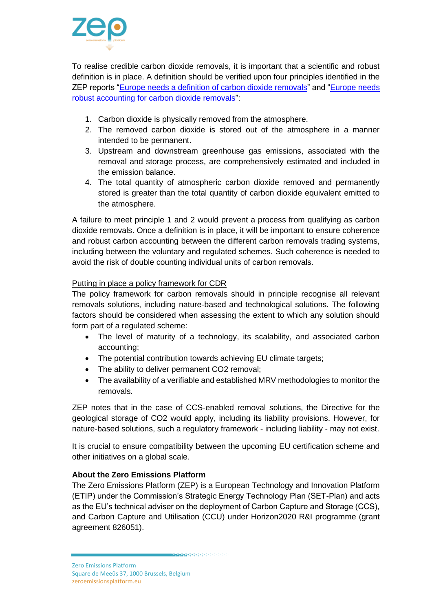

To realise credible carbon dioxide removals, it is important that a scientific and robust definition is in place. A definition should be verified upon four principles identified in the ZEP reports ["Europe needs a definition of carbon dioxide removals"](https://zeroemissionsplatform.eu/europe-needs-a-definition-of-carbon-dioxide-removal/) and ["Europe needs](https://zeroemissionsplatform.eu/europe-needs-robust-accounting-for-carbon-dioxide-removal/)  [robust accounting for carbon dioxide removals"](https://zeroemissionsplatform.eu/europe-needs-robust-accounting-for-carbon-dioxide-removal/):

- 1. Carbon dioxide is physically removed from the atmosphere.
- 2. The removed carbon dioxide is stored out of the atmosphere in a manner intended to be permanent.
- 3. Upstream and downstream greenhouse gas emissions, associated with the removal and storage process, are comprehensively estimated and included in the emission balance.
- 4. The total quantity of atmospheric carbon dioxide removed and permanently stored is greater than the total quantity of carbon dioxide equivalent emitted to the atmosphere.

A failure to meet principle 1 and 2 would prevent a process from qualifying as carbon dioxide removals. Once a definition is in place, it will be important to ensure coherence and robust carbon accounting between the different carbon removals trading systems, including between the voluntary and regulated schemes. Such coherence is needed to avoid the risk of double counting individual units of carbon removals.

## Putting in place a policy framework for CDR

The policy framework for carbon removals should in principle recognise all relevant removals solutions, including nature-based and technological solutions. The following factors should be considered when assessing the extent to which any solution should form part of a regulated scheme:

- The level of maturity of a technology, its scalability, and associated carbon accounting;
- The potential contribution towards achieving EU climate targets;
- The ability to deliver permanent CO2 removal;
- The availability of a verifiable and established MRV methodologies to monitor the removals.

ZEP notes that in the case of CCS-enabled removal solutions, the Directive for the geological storage of CO2 would apply, including its liability provisions. However, for nature-based solutions, such a regulatory framework - including liability - may not exist.

It is crucial to ensure compatibility between the upcoming EU certification scheme and other initiatives on a global scale.

## **About the Zero Emissions Platform**

The Zero Emissions Platform (ZEP) is a European Technology and Innovation Platform (ETIP) under the Commission's Strategic Energy Technology Plan (SET-Plan) and acts as the EU's technical adviser on the deployment of Carbon Capture and Storage (CCS), and Carbon Capture and Utilisation (CCU) under Horizon2020 R&I programme (grant agreement 826051).

**MARK AND ARRESTS OF A DEADLE AND RESIDENT**